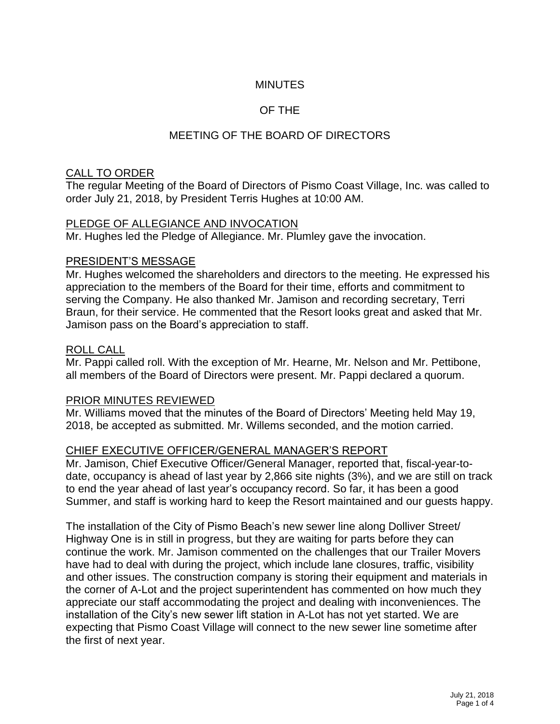# **MINUTES**

## OF THE

# MEETING OF THE BOARD OF DIRECTORS

### CALL TO ORDER

The regular Meeting of the Board of Directors of Pismo Coast Village, Inc. was called to order July 21, 2018, by President Terris Hughes at 10:00 AM.

### PLEDGE OF ALLEGIANCE AND INVOCATION

Mr. Hughes led the Pledge of Allegiance. Mr. Plumley gave the invocation.

#### PRESIDENT'S MESSAGE

Mr. Hughes welcomed the shareholders and directors to the meeting. He expressed his appreciation to the members of the Board for their time, efforts and commitment to serving the Company. He also thanked Mr. Jamison and recording secretary, Terri Braun, for their service. He commented that the Resort looks great and asked that Mr. Jamison pass on the Board's appreciation to staff.

#### ROLL CALL

Mr. Pappi called roll. With the exception of Mr. Hearne, Mr. Nelson and Mr. Pettibone, all members of the Board of Directors were present. Mr. Pappi declared a quorum.

### PRIOR MINUTES REVIEWED

Mr. Williams moved that the minutes of the Board of Directors' Meeting held May 19, 2018, be accepted as submitted. Mr. Willems seconded, and the motion carried.

### CHIEF EXECUTIVE OFFICER/GENERAL MANAGER'S REPORT

Mr. Jamison, Chief Executive Officer/General Manager, reported that, fiscal-year-todate, occupancy is ahead of last year by 2,866 site nights (3%), and we are still on track to end the year ahead of last year's occupancy record. So far, it has been a good Summer, and staff is working hard to keep the Resort maintained and our guests happy.

The installation of the City of Pismo Beach's new sewer line along Dolliver Street/ Highway One is in still in progress, but they are waiting for parts before they can continue the work. Mr. Jamison commented on the challenges that our Trailer Movers have had to deal with during the project, which include lane closures, traffic, visibility and other issues. The construction company is storing their equipment and materials in the corner of A-Lot and the project superintendent has commented on how much they appreciate our staff accommodating the project and dealing with inconveniences. The installation of the City's new sewer lift station in A-Lot has not yet started. We are expecting that Pismo Coast Village will connect to the new sewer line sometime after the first of next year.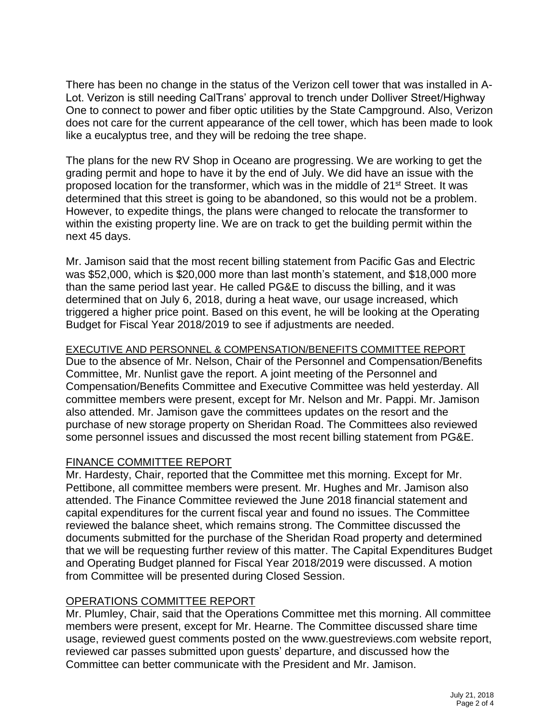There has been no change in the status of the Verizon cell tower that was installed in A-Lot. Verizon is still needing CalTrans' approval to trench under Dolliver Street/Highway One to connect to power and fiber optic utilities by the State Campground. Also, Verizon does not care for the current appearance of the cell tower, which has been made to look like a eucalyptus tree, and they will be redoing the tree shape.

The plans for the new RV Shop in Oceano are progressing. We are working to get the grading permit and hope to have it by the end of July. We did have an issue with the proposed location for the transformer, which was in the middle of 21st Street. It was determined that this street is going to be abandoned, so this would not be a problem. However, to expedite things, the plans were changed to relocate the transformer to within the existing property line. We are on track to get the building permit within the next 45 days.

Mr. Jamison said that the most recent billing statement from Pacific Gas and Electric was \$52,000, which is \$20,000 more than last month's statement, and \$18,000 more than the same period last year. He called PG&E to discuss the billing, and it was determined that on July 6, 2018, during a heat wave, our usage increased, which triggered a higher price point. Based on this event, he will be looking at the Operating Budget for Fiscal Year 2018/2019 to see if adjustments are needed.

### EXECUTIVE AND PERSONNEL & COMPENSATION/BENEFITS COMMITTEE REPORT

Due to the absence of Mr. Nelson, Chair of the Personnel and Compensation/Benefits Committee, Mr. Nunlist gave the report. A joint meeting of the Personnel and Compensation/Benefits Committee and Executive Committee was held yesterday. All committee members were present, except for Mr. Nelson and Mr. Pappi. Mr. Jamison also attended. Mr. Jamison gave the committees updates on the resort and the purchase of new storage property on Sheridan Road. The Committees also reviewed some personnel issues and discussed the most recent billing statement from PG&E.

# FINANCE COMMITTEE REPORT

Mr. Hardesty, Chair, reported that the Committee met this morning. Except for Mr. Pettibone, all committee members were present. Mr. Hughes and Mr. Jamison also attended. The Finance Committee reviewed the June 2018 financial statement and capital expenditures for the current fiscal year and found no issues. The Committee reviewed the balance sheet, which remains strong. The Committee discussed the documents submitted for the purchase of the Sheridan Road property and determined that we will be requesting further review of this matter. The Capital Expenditures Budget and Operating Budget planned for Fiscal Year 2018/2019 were discussed. A motion from Committee will be presented during Closed Session.

### OPERATIONS COMMITTEE REPORT

Mr. Plumley, Chair, said that the Operations Committee met this morning. All committee members were present, except for Mr. Hearne. The Committee discussed share time usage, reviewed guest comments posted on the www.guestreviews.com website report, reviewed car passes submitted upon guests' departure, and discussed how the Committee can better communicate with the President and Mr. Jamison.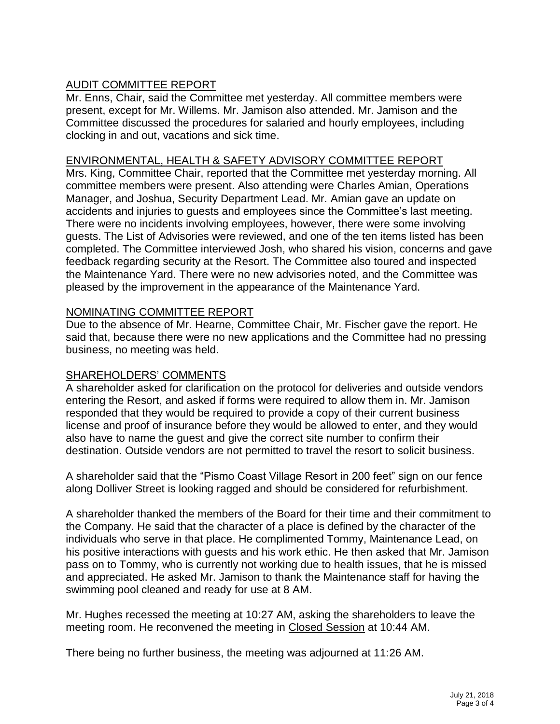# AUDIT COMMITTEE REPORT

Mr. Enns, Chair, said the Committee met yesterday. All committee members were present, except for Mr. Willems. Mr. Jamison also attended. Mr. Jamison and the Committee discussed the procedures for salaried and hourly employees, including clocking in and out, vacations and sick time.

#### ENVIRONMENTAL, HEALTH & SAFETY ADVISORY COMMITTEE REPORT

Mrs. King, Committee Chair, reported that the Committee met yesterday morning. All committee members were present. Also attending were Charles Amian, Operations Manager, and Joshua, Security Department Lead. Mr. Amian gave an update on accidents and injuries to guests and employees since the Committee's last meeting. There were no incidents involving employees, however, there were some involving guests. The List of Advisories were reviewed, and one of the ten items listed has been completed. The Committee interviewed Josh, who shared his vision, concerns and gave feedback regarding security at the Resort. The Committee also toured and inspected the Maintenance Yard. There were no new advisories noted, and the Committee was pleased by the improvement in the appearance of the Maintenance Yard.

### NOMINATING COMMITTEE REPORT

Due to the absence of Mr. Hearne, Committee Chair, Mr. Fischer gave the report. He said that, because there were no new applications and the Committee had no pressing business, no meeting was held.

### SHAREHOLDERS' COMMENTS

A shareholder asked for clarification on the protocol for deliveries and outside vendors entering the Resort, and asked if forms were required to allow them in. Mr. Jamison responded that they would be required to provide a copy of their current business license and proof of insurance before they would be allowed to enter, and they would also have to name the guest and give the correct site number to confirm their destination. Outside vendors are not permitted to travel the resort to solicit business.

A shareholder said that the "Pismo Coast Village Resort in 200 feet" sign on our fence along Dolliver Street is looking ragged and should be considered for refurbishment.

A shareholder thanked the members of the Board for their time and their commitment to the Company. He said that the character of a place is defined by the character of the individuals who serve in that place. He complimented Tommy, Maintenance Lead, on his positive interactions with guests and his work ethic. He then asked that Mr. Jamison pass on to Tommy, who is currently not working due to health issues, that he is missed and appreciated. He asked Mr. Jamison to thank the Maintenance staff for having the swimming pool cleaned and ready for use at 8 AM.

Mr. Hughes recessed the meeting at 10:27 AM, asking the shareholders to leave the meeting room. He reconvened the meeting in Closed Session at 10:44 AM.

There being no further business, the meeting was adjourned at 11:26 AM.